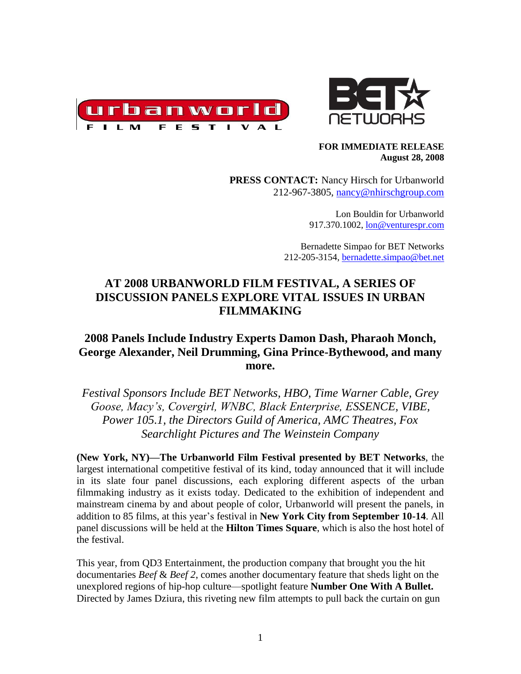



#### **FOR IMMEDIATE RELEASE August 28, 2008**

**PRESS CONTACT:** Nancy Hirsch for Urbanworld 212-967-3805, [nancy@nhirschgroup.com](mailto:nancy@nhirschgroup.com)

> Lon Bouldin for Urbanworld 917.370.1002[, lon@venturespr.com](mailto:lon@venturespr.com)

Bernadette Simpao for BET Networks 212-205-3154, [bernadette.simpao@bet.net](mailto:bernadette.simpao@bet.net)

# **AT 2008 URBANWORLD FILM FESTIVAL, A SERIES OF DISCUSSION PANELS EXPLORE VITAL ISSUES IN URBAN FILMMAKING**

# **2008 Panels Include Industry Experts Damon Dash, Pharaoh Monch, George Alexander, Neil Drumming, Gina Prince-Bythewood, and many more.**

*Festival Sponsors Include BET Networks, HBO, Time Warner Cable, Grey Goose, Macy's, Covergirl, WNBC, Black Enterprise, ESSENCE, VIBE, Power 105.1, the Directors Guild of America, AMC Theatres, Fox Searchlight Pictures and The Weinstein Company* 

**(New York, NY)—The Urbanworld Film Festival presented by BET Networks**, the largest international competitive festival of its kind, today announced that it will include in its slate four panel discussions, each exploring different aspects of the urban filmmaking industry as it exists today. Dedicated to the exhibition of independent and mainstream cinema by and about people of color, Urbanworld will present the panels, in addition to 85 films, at this year's festival in **New York City from September 10-14**. All panel discussions will be held at the **Hilton Times Square**, which is also the host hotel of the festival.

This year, from QD3 Entertainment, the production company that brought you the hit documentaries *Beef* & *Beef 2*, comes another documentary feature that sheds light on the unexplored regions of hip-hop culture—spotlight feature **Number One With A Bullet.**  Directed by James Dziura, this riveting new film attempts to pull back the curtain on gun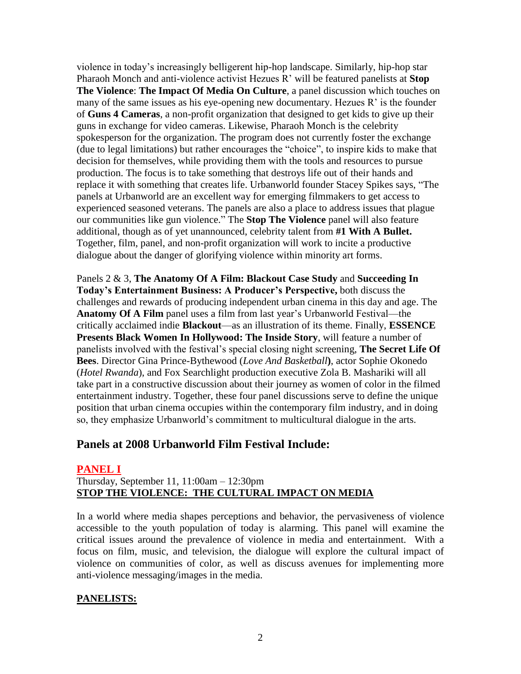violence in today's increasingly belligerent hip-hop landscape. Similarly, hip-hop star Pharaoh Monch and anti-violence activist Hezues R' will be featured panelists at **Stop The Violence**: **The Impact Of Media On Culture**, a panel discussion which touches on many of the same issues as his eye-opening new documentary. Hezues R' is the founder of **Guns 4 Cameras**, a non-profit organization that designed to get kids to give up their guns in exchange for video cameras. Likewise, Pharaoh Monch is the celebrity spokesperson for the organization. The program does not currently foster the exchange (due to legal limitations) but rather encourages the "choice", to inspire kids to make that decision for themselves, while providing them with the tools and resources to pursue production. The focus is to take something that destroys life out of their hands and replace it with something that creates life. Urbanworld founder Stacey Spikes says, "The panels at Urbanworld are an excellent way for emerging filmmakers to get access to experienced seasoned veterans. The panels are also a place to address issues that plague our communities like gun violence.‖ The **Stop The Violence** panel will also feature additional, though as of yet unannounced, celebrity talent from **#1 With A Bullet.** Together, film, panel, and non-profit organization will work to incite a productive dialogue about the danger of glorifying violence within minority art forms.

Panels 2 & 3, **The Anatomy Of A Film: Blackout Case Study** and **Succeeding In Today's Entertainment Business: A Producer's Perspective,** both discuss the challenges and rewards of producing independent urban cinema in this day and age. The **Anatomy Of A Film** panel uses a film from last year's Urbanworld Festival—the critically acclaimed indie **Blackout**—as an illustration of its theme. Finally, **ESSENCE Presents Black Women In Hollywood: The Inside Story**, will feature a number of panelists involved with the festival's special closing night screening, **The Secret Life Of Bees**. Director Gina Prince-Bythewood (*Love And Basketball***)**, actor Sophie Okonedo (*Hotel Rwanda*), and Fox Searchlight production executive Zola B. Mashariki will all take part in a constructive discussion about their journey as women of color in the filmed entertainment industry. Together, these four panel discussions serve to define the unique position that urban cinema occupies within the contemporary film industry, and in doing so, they emphasize Urbanworld's commitment to multicultural dialogue in the arts.

## **Panels at 2008 Urbanworld Film Festival Include:**

### **PANEL I**

### Thursday, September 11, 11:00am – 12:30pm **STOP THE VIOLENCE: THE CULTURAL IMPACT ON MEDIA**

In a world where media shapes perceptions and behavior, the pervasiveness of violence accessible to the youth population of today is alarming. This panel will examine the critical issues around the prevalence of violence in media and entertainment. With a focus on film, music, and television, the dialogue will explore the cultural impact of violence on communities of color, as well as discuss avenues for implementing more anti-violence messaging/images in the media.

### **PANELISTS:**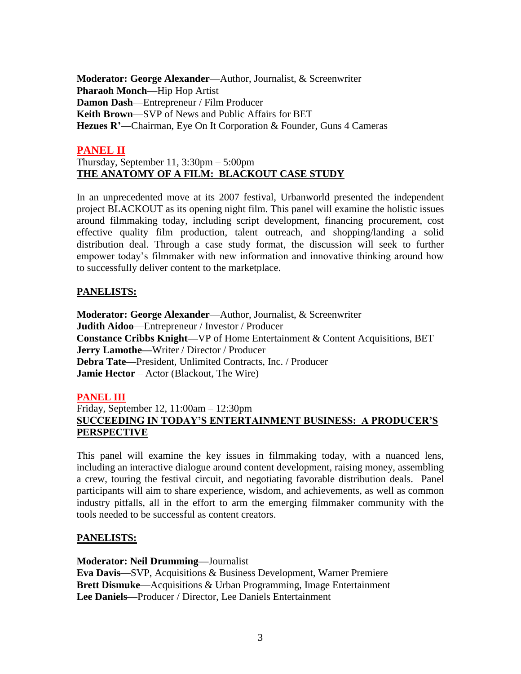**Moderator: George Alexander**—Author, Journalist, & Screenwriter **Pharaoh Monch**—Hip Hop Artist **Damon Dash**—Entrepreneur / Film Producer **Keith Brown**—SVP of News and Public Affairs for BET **Hezues R'**—Chairman, Eye On It Corporation & Founder, Guns 4 Cameras

### **PANEL II**

### Thursday, September 11, 3:30pm – 5:00pm **THE ANATOMY OF A FILM: BLACKOUT CASE STUDY**

In an unprecedented move at its 2007 festival, Urbanworld presented the independent project BLACKOUT as its opening night film. This panel will examine the holistic issues around filmmaking today, including script development, financing procurement, cost effective quality film production, talent outreach, and shopping/landing a solid distribution deal. Through a case study format, the discussion will seek to further empower today's filmmaker with new information and innovative thinking around how to successfully deliver content to the marketplace.

### **PANELISTS:**

**Moderator: George Alexander**—Author, Journalist, & Screenwriter **Judith Aidoo**—Entrepreneur / Investor / Producer **Constance Cribbs Knight—**VP of Home Entertainment & Content Acquisitions, BET **Jerry Lamothe—**Writer / Director / Producer **Debra Tate—**President, Unlimited Contracts, Inc. / Producer **Jamie Hector** – Actor (Blackout, The Wire)

### **PANEL III**

### Friday, September 12, 11:00am – 12:30pm **SUCCEEDING IN TODAY'S ENTERTAINMENT BUSINESS: A PRODUCER'S PERSPECTIVE**

This panel will examine the key issues in filmmaking today, with a nuanced lens, including an interactive dialogue around content development, raising money, assembling a crew, touring the festival circuit, and negotiating favorable distribution deals. Panel participants will aim to share experience, wisdom, and achievements, as well as common industry pitfalls, all in the effort to arm the emerging filmmaker community with the tools needed to be successful as content creators.

### **PANELISTS:**

**Moderator: Neil Drumming—**Journalist

**Eva Davis—**SVP, Acquisitions & Business Development, Warner Premiere **Brett Dismuke**—Acquisitions & Urban Programming, Image Entertainment **Lee Daniels—**Producer / Director, Lee Daniels Entertainment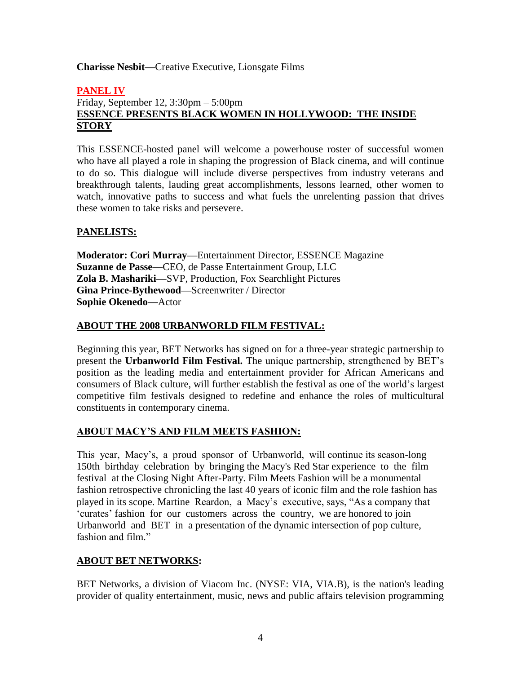#### **Charisse Nesbit—**Creative Executive, Lionsgate Films

#### **PANEL IV** Friday, September 12, 3:30pm – 5:00pm **ESSENCE PRESENTS BLACK WOMEN IN HOLLYWOOD: THE INSIDE STORY**

This ESSENCE-hosted panel will welcome a powerhouse roster of successful women who have all played a role in shaping the progression of Black cinema, and will continue to do so. This dialogue will include diverse perspectives from industry veterans and breakthrough talents, lauding great accomplishments, lessons learned, other women to watch, innovative paths to success and what fuels the unrelenting passion that drives these women to take risks and persevere.

### **PANELISTS:**

**Moderator: Cori Murray—**Entertainment Director, ESSENCE Magazine **Suzanne de Passe—**CEO, de Passe Entertainment Group, LLC **Zola B. Mashariki—**SVP, Production, Fox Searchlight Pictures **Gina Prince-Bythewood—**Screenwriter / Director **Sophie Okenedo—**Actor

#### **ABOUT THE 2008 URBANWORLD FILM FESTIVAL:**

Beginning this year, BET Networks has signed on for a three-year strategic partnership to present the **Urbanworld Film Festival.** The unique partnership, strengthened by BET's position as the leading media and entertainment provider for African Americans and consumers of Black culture, will further establish the festival as one of the world's largest competitive film festivals designed to redefine and enhance the roles of multicultural constituents in contemporary cinema.

### **ABOUT MACY'S AND FILM MEETS FASHION:**

This year, Macy's, a proud sponsor of Urbanworld, will continue its season-long 150th birthday celebration by bringing the Macy's Red Star experience to the film festival at the Closing Night After-Party. Film Meets Fashion will be a monumental fashion retrospective chronicling the last 40 years of iconic film and the role fashion has played in its scope. Martine Reardon, a Macy's executive, says, "As a company that ‗curates' fashion for our customers across the country, we are honored to join Urbanworld and BET in a presentation of the dynamic intersection of pop culture, fashion and film."

#### **ABOUT BET NETWORKS:**

BET Networks, a division of Viacom Inc. (NYSE: VIA, VIA.B), is the nation's leading provider of quality entertainment, music, news and public affairs television programming